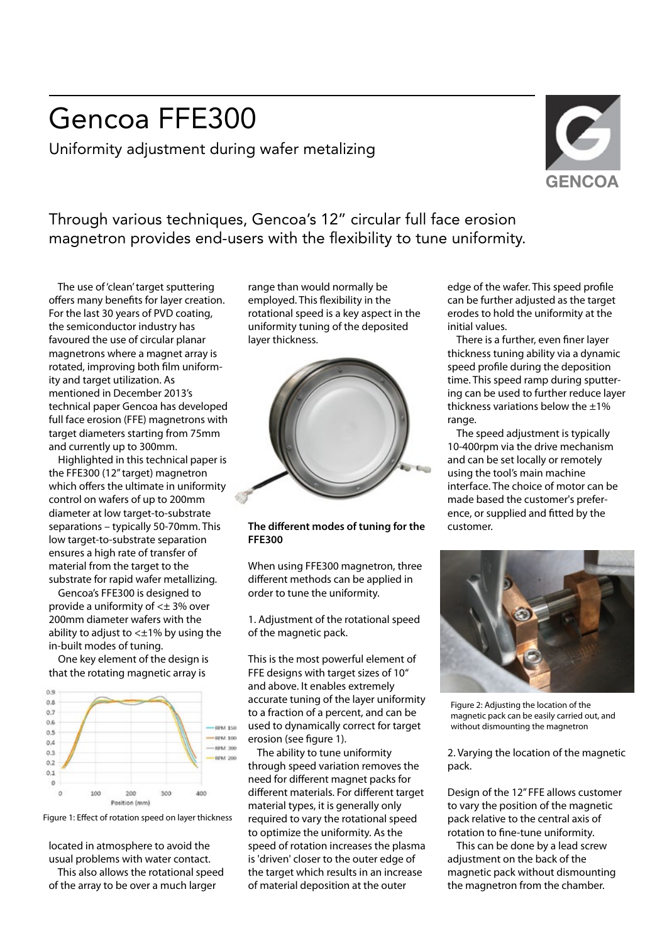## Gencoa FFE300

Uniformity adjustment during wafer metalizing



Through various techniques, Gencoa's 12" circular full face erosion magnetron provides end-users with the flexibility to tune uniformity.

 The use of 'clean' target sputtering offers many benefits for layer creation. For the last 30 years of PVD coating, the semiconductor industry has favoured the use of circular planar magnetrons where a magnet array is rotated, improving both film uniformity and target utilization. As mentioned in December 2013's technical paper Gencoa has developed full face erosion (FFE) magnetrons with target diameters starting from 75mm and currently up to 300mm.

 Highlighted in this technical paper is the FFE300 (12" target) magnetron which offers the ultimate in uniformity control on wafers of up to 200mm diameter at low target-to-substrate separations – typically 50-70mm. This low target-to-substrate separation ensures a high rate of transfer of material from the target to the substrate for rapid wafer metallizing.

 Gencoa's FFE300 is designed to provide a uniformity of <± 3% over 200mm diameter wafers with the ability to adjust to  $\lt\pm1\%$  by using the in-built modes of tuning.

 One key element of the design is that the rotating magnetic array is





located in atmosphere to avoid the usual problems with water contact.

 This also allows the rotational speed of the array to be over a much larger

range than would normally be employed. This flexibility in the rotational speed is a key aspect in the uniformity tuning of the deposited layer thickness.



## **The different modes of tuning for the FFE300**

When using FFE300 magnetron, three different methods can be applied in order to tune the uniformity.

1. Adjustment of the rotational speed of the magnetic pack.

This is the most powerful element of FFE designs with target sizes of 10" and above. It enables extremely accurate tuning of the layer uniformity to a fraction of a percent, and can be used to dynamically correct for target erosion (see figure 1).

 The ability to tune uniformity through speed variation removes the need for different magnet packs for different materials. For different target material types, it is generally only required to vary the rotational speed to optimize the uniformity. As the speed of rotation increases the plasma is 'driven' closer to the outer edge of the target which results in an increase of material deposition at the outer

edge of the wafer. This speed profile can be further adjusted as the target erodes to hold the uniformity at the initial values.

There is a further, even finer layer thickness tuning ability via a dynamic speed profile during the deposition time. This speed ramp during sputtering can be used to further reduce layer thickness variations below the  $\pm 1\%$ range.

 The speed adjustment is typically 10-400rpm via the drive mechanism and can be set locally or remotely using the tool's main machine interface. The choice of motor can be made based the customer's preference, or supplied and fitted by the customer.



Figure 2: Adjusting the location of the magnetic pack can be easily carried out, and without dismounting the magnetron

2. Varying the location of the magnetic pack.

Design of the 12" FFE allows customer to vary the position of the magnetic pack relative to the central axis of rotation to fine-tune uniformity.

 This can be done by a lead screw adjustment on the back of the magnetic pack without dismounting the magnetron from the chamber.